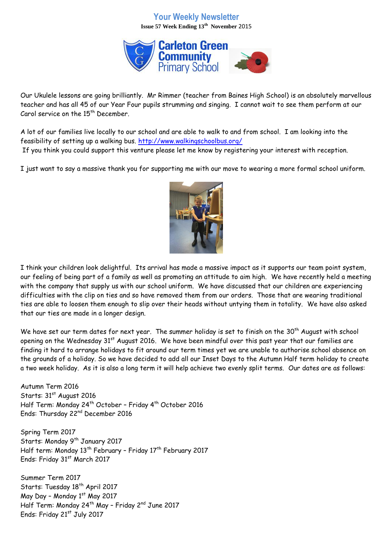## **Your Weekly Newsletter Issue 57 Week Ending 13th November** 2015



Our Ukulele lessons are going brilliantly. Mr Rimmer (teacher from Baines High School) is an absolutely marvellous teacher and has all 45 of our Year Four pupils strumming and singing. I cannot wait to see them perform at our Carol service on the  $15<sup>th</sup>$  December.

A lot of our families live locally to our school and are able to walk to and from school. I am looking into the feasibility of setting up a walking bus.<http://www.walkingschoolbus.org/> If you think you could support this venture please let me know by registering your interest with reception.

I just want to say a massive thank you for supporting me with our move to wearing a more formal school uniform.



I think your children look delightful. Its arrival has made a massive impact as it supports our team point system, our feeling of being part of a family as well as promoting an attitude to aim high. We have recently held a meeting with the company that supply us with our school uniform. We have discussed that our children are experiencing difficulties with the clip on ties and so have removed them from our orders. Those that are wearing traditional ties are able to loosen them enough to slip over their heads without untying them in totality. We have also asked that our ties are made in a longer design.

We have set our term dates for next year. The summer holiday is set to finish on the 30<sup>th</sup> August with school opening on the Wednesday 31<sup>st</sup> August 2016. We have been mindful over this past year that our families are finding it hard to arrange holidays to fit around our term times yet we are unable to authorise school absence on the grounds of a holiday. So we have decided to add all our Inset Days to the Autumn Half term holiday to create a two week holiday. As it is also a long term it will help achieve two evenly split terms. Our dates are as follows:

Autumn Term 2016 Starts: 31st August 2016 Half Term: Monday 24<sup>th</sup> October - Friday 4<sup>th</sup> October 2016 Ends: Thursday 22nd December 2016

Spring Term 2017 Starts: Monday 9<sup>th</sup> January 2017 Half term: Monday 13<sup>th</sup> February - Friday 17<sup>th</sup> February 2017 Ends: Friday 31st March 2017

Summer Term 2017 Starts: Tuesday 18<sup>th</sup> April 2017 May Day - Monday 1st May 2017 Half Term: Monday 24<sup>th</sup> May - Friday 2<sup>nd</sup> June 2017 Ends: Friday 21<sup>st</sup> July 2017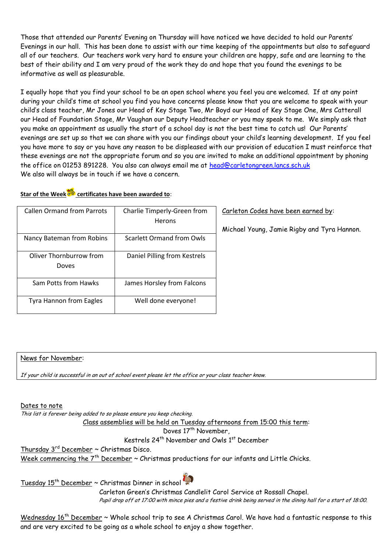Those that attended our Parents' Evening on Thursday will have noticed we have decided to hold our Parents' Evenings in our hall. This has been done to assist with our time keeping of the appointments but also to safeguard all of our teachers. Our teachers work very hard to ensure your children are happy, safe and are learning to the best of their ability and I am very proud of the work they do and hope that you found the evenings to be informative as well as pleasurable.

I equally hope that you find your school to be an open school where you feel you are welcomed. If at any point during your child's time at school you find you have concerns please know that you are welcome to speak with your child's class teacher, Mr Jones our Head of Key Stage Two, Mr Boyd our Head of Key Stage One, Mrs Catterall our Head of Foundation Stage, Mr Vaughan our Deputy Headteacher or you may speak to me. We simply ask that you make an appointment as usually the start of a school day is not the best time to catch us! Our Parents' evenings are set up so that we can share with you our findings about your child's learning development. If you feel you have more to say or you have any reason to be displeased with our provision of education I must reinforce that these evenings are not the appropriate forum and so you are invited to make an additional appointment by phoning the office on 01253 891228. You also can always email me at [head@carletongreen.lancs.sch.uk](mailto:head@carletongreen.lancs.sch.uk)  We also will always be in touch if we have a concern.

# **Star of the Week certificates have been awarded to**:

| <b>Callen Ormand from Parrots</b> | Charlie Timperly-Green from<br>Herons | Carleton Codes have been earned by:<br>Michael Young, Jamie Rigby and Tyra Hannon. |
|-----------------------------------|---------------------------------------|------------------------------------------------------------------------------------|
| Nancy Bateman from Robins         | Scarlett Ormand from Owls             |                                                                                    |
| Oliver Thornburrow from<br>Doves  | Daniel Pilling from Kestrels          |                                                                                    |
| Sam Potts from Hawks              | James Horsley from Falcons            |                                                                                    |
| <b>Tyra Hannon from Eagles</b>    | Well done everyone!                   |                                                                                    |

### News for November:

If your child is successful in an out of school event please let the office or your class teacher know.

#### Dates to note

This list is forever being added to so please ensure you keep checking. Class assemblies will be held on Tuesday afternoons from 15:00 this term:

Doves 17<sup>th</sup> November.

Kestrels 24<sup>th</sup> November and Owls 1<sup>st</sup> December

Thursday  $3^{rd}$  December  $\sim$  Christmas Disco.

Week commencing the  $7<sup>th</sup>$  December  $\sim$  Christmas productions for our infants and Little Chicks.

Tuesday  $15<sup>th</sup>$  December  $\sim$  Christmas Dinner in school

 Carleton Green's Christmas Candlelit Carol Service at Rossall Chapel. Pupil drop off at 17:00 with mince pies and a festive drink being served in the dining hall for a start of 18:00.

Wednesday  $16^{th}$  December ~ Whole school trip to see A Christmas Carol. We have had a fantastic response to this and are very excited to be going as a whole school to enjoy a show together.